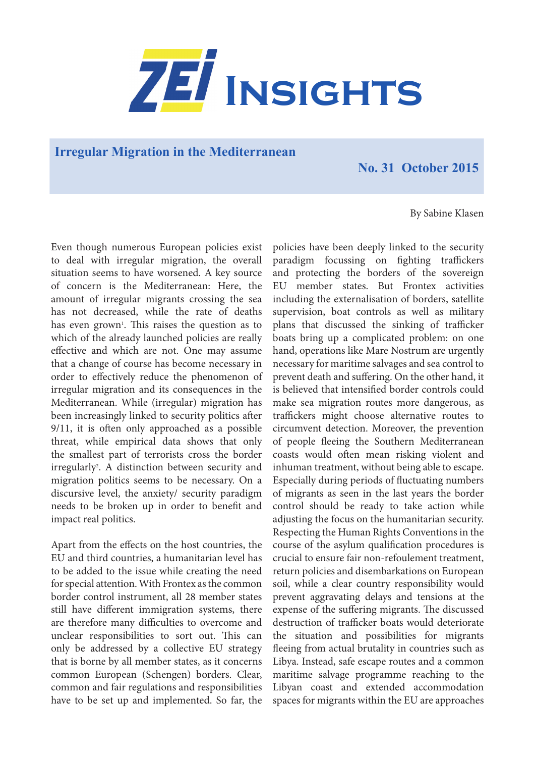

**Irregular Migration in the Mediterranean** 

**No. 31 October 2015**

By Sabine Klasen

Even though numerous European policies exist to deal with irregular migration, the overall situation seems to have worsened. A key source of concern is the Mediterranean: Here, the amount of irregular migrants crossing the sea has not decreased, while the rate of deaths has even grown<sup>1</sup>. This raises the question as to which of the already launched policies are really effective and which are not. One may assume that a change of course has become necessary in order to effectively reduce the phenomenon of irregular migration and its consequences in the Mediterranean. While (irregular) migration has been increasingly linked to security politics after 9/11, it is often only approached as a possible threat, while empirical data shows that only the smallest part of terrorists cross the border irregularly2 . A distinction between security and migration politics seems to be necessary. On a discursive level, the anxiety/ security paradigm needs to be broken up in order to benefit and impact real politics.

Apart from the effects on the host countries, the EU and third countries, a humanitarian level has to be added to the issue while creating the need for special attention. With Frontex as the common border control instrument, all 28 member states still have different immigration systems, there are therefore many difficulties to overcome and unclear responsibilities to sort out. This can only be addressed by a collective EU strategy that is borne by all member states, as it concerns common European (Schengen) borders. Clear, common and fair regulations and responsibilities have to be set up and implemented. So far, the policies have been deeply linked to the security paradigm focussing on fighting traffickers and protecting the borders of the sovereign EU member states. But Frontex activities including the externalisation of borders, satellite supervision, boat controls as well as military plans that discussed the sinking of trafficker boats bring up a complicated problem: on one hand, operations like Mare Nostrum are urgently necessary for maritime salvages and sea control to prevent death and suffering. On the other hand, it is believed that intensified border controls could make sea migration routes more dangerous, as traffickers might choose alternative routes to circumvent detection. Moreover, the prevention of people fleeing the Southern Mediterranean coasts would often mean risking violent and inhuman treatment, without being able to escape. Especially during periods of fluctuating numbers of migrants as seen in the last years the border control should be ready to take action while adjusting the focus on the humanitarian security. Respecting the Human Rights Conventions in the course of the asylum qualification procedures is crucial to ensure fair non-refoulement treatment, return policies and disembarkations on European soil, while a clear country responsibility would prevent aggravating delays and tensions at the expense of the suffering migrants. The discussed destruction of trafficker boats would deteriorate the situation and possibilities for migrants fleeing from actual brutality in countries such as Libya. Instead, safe escape routes and a common maritime salvage programme reaching to the Libyan coast and extended accommodation spaces for migrants within the EU are approaches